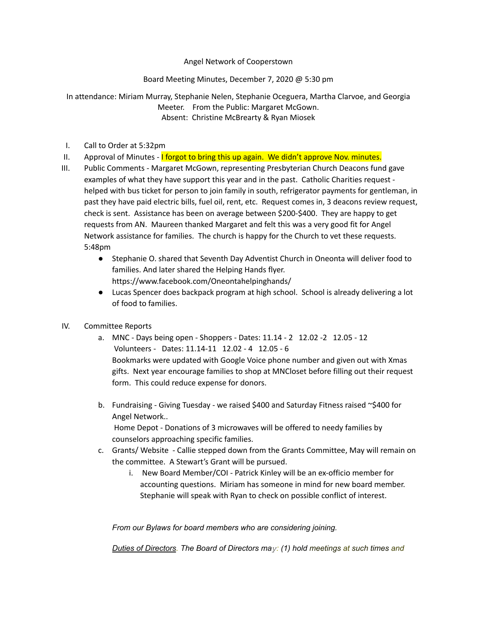Angel Network of Cooperstown

Board Meeting Minutes, December 7, 2020 @ 5:30 pm

In attendance: Miriam Murray, Stephanie Nelen, Stephanie Oceguera, Martha Clarvoe, and Georgia Meeter. From the Public: Margaret McGown. Absent: Christine McBrearty & Ryan Miosek

- I. Call to Order at 5:32pm
- II. Approval of Minutes I forgot to bring this up again. We didn't approve Nov. minutes.
- III. Public Comments Margaret McGown, representing Presbyterian Church Deacons fund gave examples of what they have support this year and in the past. Catholic Charities request helped with bus ticket for person to join family in south, refrigerator payments for gentleman, in past they have paid electric bills, fuel oil, rent, etc. Request comes in, 3 deacons review request, check is sent. Assistance has been on average between \$200-\$400. They are happy to get requests from AN. Maureen thanked Margaret and felt this was a very good fit for Angel Network assistance for families. The church is happy for the Church to vet these requests. 5:48pm
	- Stephanie O. shared that Seventh Day Adventist Church in Oneonta will deliver food to families. And later shared the Helping Hands flyer. https://www.facebook.com/Oneontahelpinghands/
	- Lucas Spencer does backpack program at high school. School is already delivering a lot of food to families.
- IV. Committee Reports
	- a. MNC Days being open Shoppers Dates: 11.14 2 12.02 -2 12.05 12 Volunteers - Dates: 11.14-11 12.02 - 4 12.05 - 6 Bookmarks were updated with Google Voice phone number and given out with Xmas gifts. Next year encourage families to shop at MNCloset before filling out their request form. This could reduce expense for donors.
	- b. Fundraising Giving Tuesday we raised \$400 and Saturday Fitness raised ~\$400 for Angel Network.. Home Depot - Donations of 3 microwaves will be offered to needy families by counselors approaching specific families.
	- c. Grants/ Website Callie stepped down from the Grants Committee, May will remain on the committee. A Stewart's Grant will be pursued.
		- i. New Board Member/COI Patrick Kinley will be an ex-officio member for accounting questions. Miriam has someone in mind for new board member. Stephanie will speak with Ryan to check on possible conflict of interest.

*From our Bylaws for board members who are considering joining.*

*Duties of Directors. The Board of Directors may: (1) hold meetings at such times and*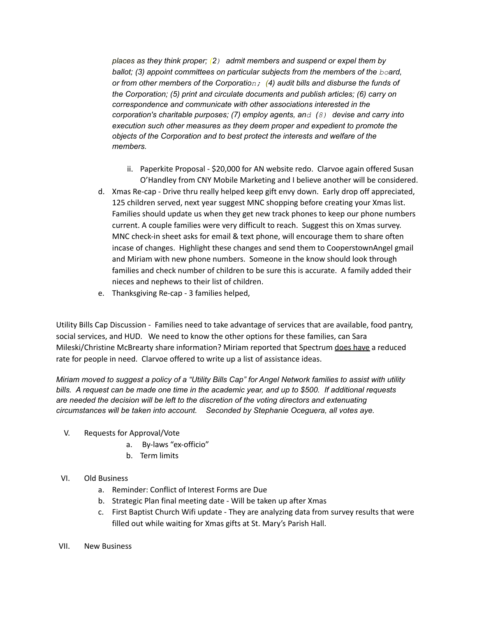*places as they think proper; (2) admit members and suspend or expel them by ballot; (3) appoint committees on particular subjects from the members of the board, or from other members of the Corporation; (4) audit bills and disburse the funds of the Corporation; (5) print and circulate documents and publish articles; (6) carry on correspondence and communicate with other associations interested in the corporation's charitable purposes; (7) employ agents, and (8) devise and carry into execution such other measures as they deem proper and expedient to promote the objects of the Corporation and to best protect the interests and welfare of the members.*

- ii. Paperkite Proposal \$20,000 for AN website redo. Clarvoe again offered Susan O'Handley from CNY Mobile Marketing and I believe another will be considered.
- d. Xmas Re-cap Drive thru really helped keep gift envy down. Early drop off appreciated, 125 children served, next year suggest MNC shopping before creating your Xmas list. Families should update us when they get new track phones to keep our phone numbers current. A couple families were very difficult to reach. Suggest this on Xmas survey. MNC check-in sheet asks for email & text phone, will encourage them to share often incase of changes. Highlight these changes and send them to CooperstownAngel gmail and Miriam with new phone numbers. Someone in the know should look through families and check number of children to be sure this is accurate. A family added their nieces and nephews to their list of children.
- e. Thanksgiving Re-cap 3 families helped,

Utility Bills Cap Discussion - Families need to take advantage of services that are available, food pantry, social services, and HUD. We need to know the other options for these families, can Sara Mileski/Christine McBrearty share information? Miriam reported that Spectrum does have a reduced rate for people in need. Clarvoe offered to write up a list of assistance ideas.

Miriam moved to suggest a policy of a "Utility Bills Cap" for Angel Network families to assist with utility bills. A request can be made one time in the academic year, and up to \$500. If additional requests *are needed the decision will be left to the discretion of the voting directors and extenuating circumstances will be taken into account. Seconded by Stephanie Oceguera, all votes aye.*

- V. Requests for Approval/Vote
	- a. By-laws "ex-officio"
	- b. Term limits

## VI. Old Business

- a. Reminder: Conflict of Interest Forms are Due
- b. Strategic Plan final meeting date Will be taken up after Xmas
- c. First Baptist Church Wifi update They are analyzing data from survey results that were filled out while waiting for Xmas gifts at St. Mary's Parish Hall.
- VII. New Business